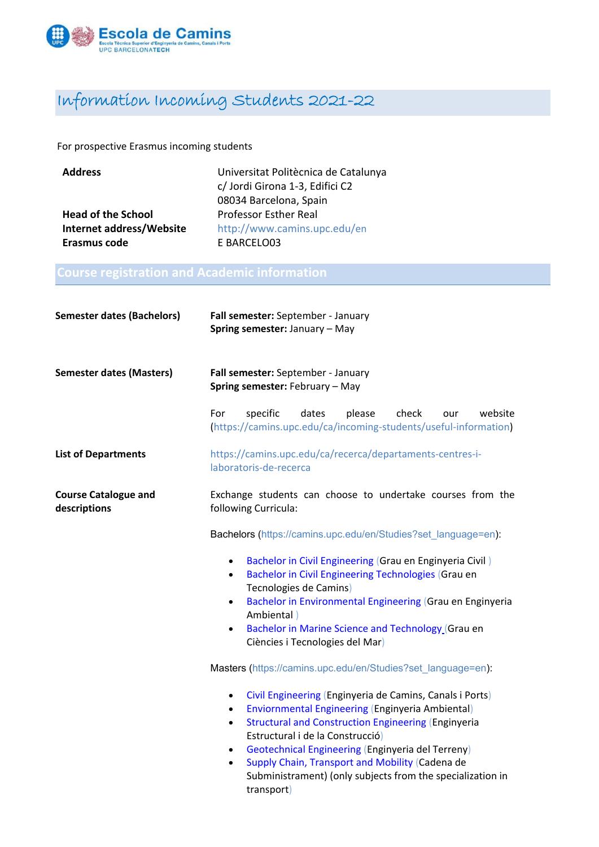

## Information Incoming Students 2021-22

For prospective Erasmus incoming students

| <b>Address</b>            | Universitat Politècnica de Catalunya |  |
|---------------------------|--------------------------------------|--|
|                           | c/ Jordi Girona 1-3, Edifici C2      |  |
|                           | 08034 Barcelona, Spain               |  |
| <b>Head of the School</b> | <b>Professor Esther Real</b>         |  |
| Internet address/Website  | http://www.camins.upc.edu/en         |  |
| Erasmus code              | E BARCELO03                          |  |

| <b>Semester dates (Bachelors)</b>           | Fall semester: September - January<br>Spring semester: January - May                                                                                                                                                                                                                                                                                                                                                                      |  |  |  |
|---------------------------------------------|-------------------------------------------------------------------------------------------------------------------------------------------------------------------------------------------------------------------------------------------------------------------------------------------------------------------------------------------------------------------------------------------------------------------------------------------|--|--|--|
| <b>Semester dates (Masters)</b>             | Fall semester: September - January<br>Spring semester: February - May                                                                                                                                                                                                                                                                                                                                                                     |  |  |  |
|                                             | For<br>specific<br>dates<br>website<br>please<br>check<br>our<br>(https://camins.upc.edu/ca/incoming-students/useful-information)                                                                                                                                                                                                                                                                                                         |  |  |  |
| <b>List of Departments</b>                  | https://camins.upc.edu/ca/recerca/departaments-centres-i-<br>laboratoris-de-recerca                                                                                                                                                                                                                                                                                                                                                       |  |  |  |
| <b>Course Catalogue and</b><br>descriptions | Exchange students can choose to undertake courses from the<br>following Curricula:                                                                                                                                                                                                                                                                                                                                                        |  |  |  |
|                                             | Bachelors (https://camins.upc.edu/en/Studies?set_language=en):                                                                                                                                                                                                                                                                                                                                                                            |  |  |  |
|                                             | Bachelor in Civil Engineering (Grau en Enginyeria Civil)<br>$\bullet$<br><b>Bachelor in Civil Engineering Technologies (Grau en</b><br>$\bullet$<br>Tecnologies de Camins)<br>Bachelor in Environmental Engineering (Grau en Enginyeria<br>$\bullet$<br>Ambiental)<br>Bachelor in Marine Science and Technology (Grau en<br>$\bullet$<br>Ciències i Tecnologies del Mar)                                                                  |  |  |  |
|                                             | Masters (https://camins.upc.edu/en/Studies?set_language=en):                                                                                                                                                                                                                                                                                                                                                                              |  |  |  |
|                                             | Civil Engineering (Enginyeria de Camins, Canals i Ports)<br>$\bullet$<br>Enviornmental Engineering (Enginyeria Ambiental)<br>$\bullet$<br><b>Structural and Construction Engineering (Enginyeria</b><br>$\bullet$<br>Estructural i de la Construcció)<br>Geotechnical Engineering (Enginyeria del Terreny)<br>Supply Chain, Transport and Mobility (Cadena de<br>Subministrament) (only subjects from the specialization in<br>transport) |  |  |  |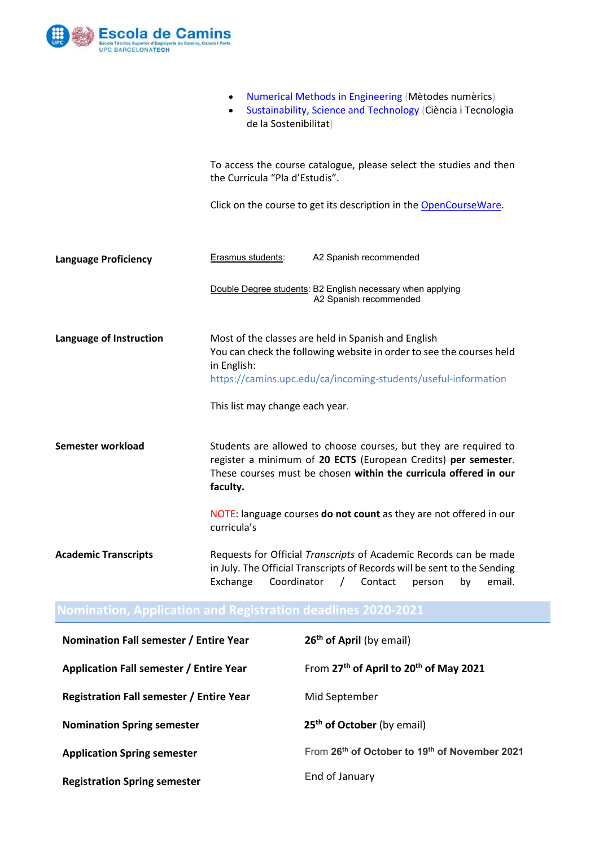

|                             | Numerical Methods in Engineering (Mètodes numèrics)<br>$\bullet$<br>Sustainability, Science and Technology (Ciència i Tecnologia<br>$\bullet$<br>de la Sostenibilitat)                                                                          |  |  |
|-----------------------------|-------------------------------------------------------------------------------------------------------------------------------------------------------------------------------------------------------------------------------------------------|--|--|
|                             | To access the course catalogue, please select the studies and then<br>the Curricula "Pla d'Estudis".                                                                                                                                            |  |  |
|                             | Click on the course to get its description in the OpenCourseWare.                                                                                                                                                                               |  |  |
| <b>Language Proficiency</b> | A2 Spanish recommended<br><b>Erasmus students:</b>                                                                                                                                                                                              |  |  |
|                             | Double Degree students: B2 English necessary when applying<br>A2 Spanish recommended                                                                                                                                                            |  |  |
| Language of Instruction     | Most of the classes are held in Spanish and English<br>You can check the following website in order to see the courses held<br>in English:<br>https://camins.upc.edu/ca/incoming-students/useful-information<br>This list may change each year. |  |  |
| Semester workload           | Students are allowed to choose courses, but they are required to<br>register a minimum of 20 ECTS (European Credits) per semester.<br>These courses must be chosen within the curricula offered in our<br>faculty.                              |  |  |
|                             | NOTE: language courses do not count as they are not offered in our<br>curricula's                                                                                                                                                               |  |  |
| <b>Academic Transcripts</b> | Requests for Official Transcripts of Academic Records can be made<br>in July. The Official Transcripts of Records will be sent to the Sending<br>Coordinator<br>Exchange<br>Contact<br>email.<br>$\sqrt{ }$<br>by<br>person                     |  |  |
|                             | <b>Nomination, Application and Registration deadlines 2020-2021</b>                                                                                                                                                                             |  |  |

| Nomination Fall semester / Entire Year          | 26 <sup>th</sup> of April (by email)                           |
|-------------------------------------------------|----------------------------------------------------------------|
| Application Fall semester / Entire Year         | From 27 <sup>th</sup> of April to 20 <sup>th</sup> of May 2021 |
| <b>Registration Fall semester / Entire Year</b> | Mid September                                                  |
| <b>Nomination Spring semester</b>               | 25 <sup>th</sup> of October (by email)                         |
| <b>Application Spring semester</b>              | From 26th of October to 19th of November 2021                  |
| <b>Registration Spring semester</b>             | End of January                                                 |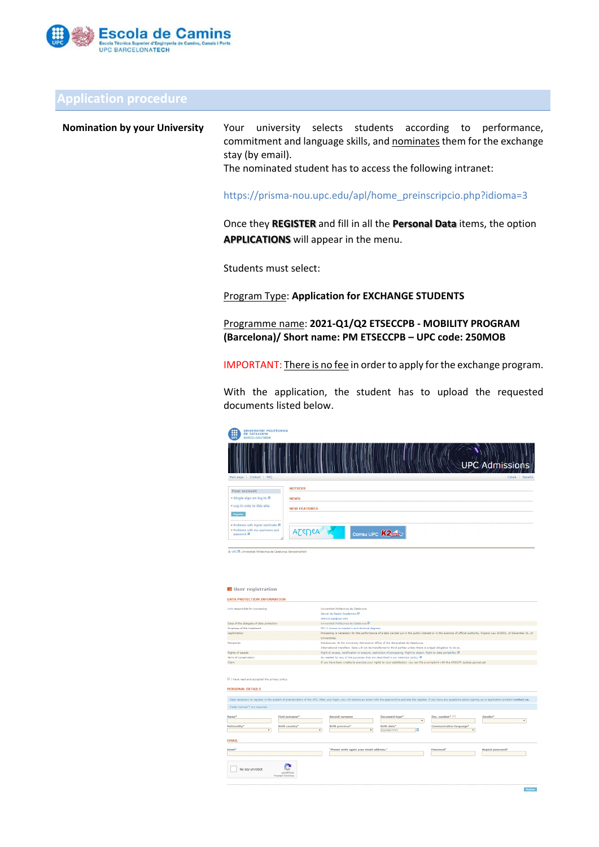

### **Application procedure**

**Nomination by your University** Your university selects students according to performance, commitment and language skills, and nominates them for the exchange stay (by email).

The nominated student has to access the following intranet:

https://prisma‐nou.upc.edu/apl/home\_preinscripcio.php?idioma=3

Once they **REGISTER** and fill in all the **Personal Data** items, the option **APPLICATIONS** will appear in the menu.

Students must select:

Program Type: **Application for EXCHANGE STUDENTS**

Programme name: **2021‐Q1/Q2 ETSECCPB ‐ MOBILITY PROGRAM (Barcelona)/ Short name: PM ETSECCPB – UPC code: 250MOB**

IMPORTANT: There is no fee in order to apply for the exchange program.

With the application, the student has to upload the requested documents listed below.

| UNIVERSITAT POLITÉCNICA<br>88<br><b>DE CATALUNYA</b><br><b>UP</b><br><b>BARCELONATECH</b>          |                                    |
|----------------------------------------------------------------------------------------------------|------------------------------------|
|                                                                                                    | <b>UPC Admissions</b>              |
| Main page   Contact   FAQ                                                                          | Català   Español                   |
| <b>Your account</b><br>· Single sign on log in @                                                   | <b>NOTICES</b>                     |
| . Log in only in this site                                                                         | <b>NEWS</b><br><b>NEW FEATURES</b> |
| Register                                                                                           |                                    |
| · Problems with digital certificate ®<br>. Problems with my username and<br>password <sup>23</sup> | ATENEA<br>Correu UPC <b>K2ptm</b>  |
| @ UPC B. Universitat Politecnica de Catalunya. BarcelonaTech                                       |                                    |

| <b>E</b> User registration                                                                    |                                                                                                                                                                                                                                |                                                                    |  |  |
|-----------------------------------------------------------------------------------------------|--------------------------------------------------------------------------------------------------------------------------------------------------------------------------------------------------------------------------------|--------------------------------------------------------------------|--|--|
| <b>DATA PROTECTION INFORMATION</b>                                                            |                                                                                                                                                                                                                                |                                                                    |  |  |
| Unit responsible for processing                                                               | Universitat Politècnica de Catalunya<br>Servei de Gestió Acadèmica ®<br>atencio.sga@upc.edu                                                                                                                                    |                                                                    |  |  |
| Data of the delegate of data protection                                                       | Universitat Politècnica de Catalunya <sup>[3]</sup>                                                                                                                                                                            |                                                                    |  |  |
| Purposes of the treatment                                                                     | F01.1 Access to master's and doctoral degrees                                                                                                                                                                                  |                                                                    |  |  |
| Legitimation                                                                                  | Processing is necessary for the performance of a task carried out in the public interest or in the exercise of official authority. Organic Law 6/2001, of December 21, of<br>Universities.                                     |                                                                    |  |  |
| <b>Recipients</b>                                                                             | Disclosures: At the University Admissions Office of the Generalitat de Catalunya.<br>International transfers: Data will not be transferred to third parties unless there is a legal obligation to do so.                       |                                                                    |  |  |
| Rights of people                                                                              | Right of access, rectification or erasure, restriction of processing. Right to object. Right to data portability.                                                                                                              |                                                                    |  |  |
| Term of conservation                                                                          | As needed for any of the purposes that are described in our retention policy. B                                                                                                                                                |                                                                    |  |  |
| Claim                                                                                         | If you have been unable to exercise your rights to your satisfaction, you can file a complaint with the APDCAT: apdcat.gencat.cat                                                                                              |                                                                    |  |  |
| If I have read and accepted the privacy policy.<br><b>PERSONAL DETAILS</b>                    |                                                                                                                                                                                                                                |                                                                    |  |  |
|                                                                                               | Data necessary to register in the system of preinscription of the UPC. After your login, you will receive an email with the password to activate the register. If you have any questions about signing up or application probl |                                                                    |  |  |
| Fields marked * are required.                                                                 |                                                                                                                                                                                                                                |                                                                    |  |  |
| Name <sup>*</sup><br>First surname <sup>*</sup><br>Nationality*<br><b>Birth country*</b><br>× | <b>Second surname</b><br>Document type*<br>$\overline{\phantom{a}}$<br><b>Birth province*</b><br><b>Rieth date*</b><br>Ħ<br>DD/MM/YYYY<br>×<br>×                                                                               | Doc. number* [1]<br>Gender*<br><b>Communication language*</b><br>٠ |  |  |
| <b>EMAIL</b>                                                                                  |                                                                                                                                                                                                                                |                                                                    |  |  |
| Fmail*                                                                                        | "Please write again your email address."                                                                                                                                                                                       | Password*<br>Repeat password*                                      |  |  |
| No sov un robot<br><b>CAPTCHA</b><br>Prigriman-Constructor                                    |                                                                                                                                                                                                                                |                                                                    |  |  |

Register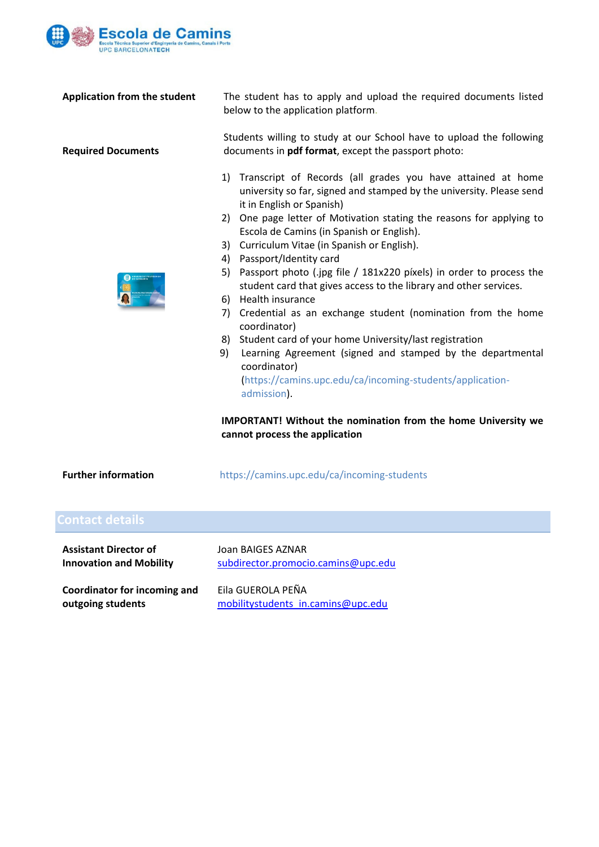

**Application from the student**

**Required Documents**

The student has to apply and upload the required documents listed below to the application platform.

Students willing to study at our School have to upload the following documents in **pdf format**, except the passport photo:

- 1) Transcript of Records (all grades you have attained at home university so far, signed and stamped by the university. Please send it in English or Spanish)
- 2) One page letter of Motivation stating the reasons for applying to Escola de Camins (in Spanish or English).
- 3) Curriculum Vitae (in Spanish or English).
- 4) Passport/Identity card
- 5) Passport photo (.jpg file / 181x220 píxels) in order to process the student card that gives access to the library and other services.
- 6) Health insurance
- 7) Credential as an exchange student (nomination from the home coordinator)
- 8) Student card of your home University/last registration
- 9) Learning Agreement (signed and stamped by the departmental coordinator) (https://camins.upc.edu/ca/incoming‐students/application‐

**IMPORTANT! Without the nomination from the home University we cannot process the application**

| <b>Further information</b> | https://camins.upc.edu/ca/incoming-students |
|----------------------------|---------------------------------------------|
|----------------------------|---------------------------------------------|

admission).

| <b>Contact details</b>         |                                     |
|--------------------------------|-------------------------------------|
| <b>Assistant Director of</b>   | Joan BAIGES AZNAR                   |
| <b>Innovation and Mobility</b> | subdirector.promocio.camins@upc.edu |
| Coordinator for incoming and   | Eila GUEROLA PEÑA                   |
| outgoing students              | mobilitystudents in.camins@upc.edu  |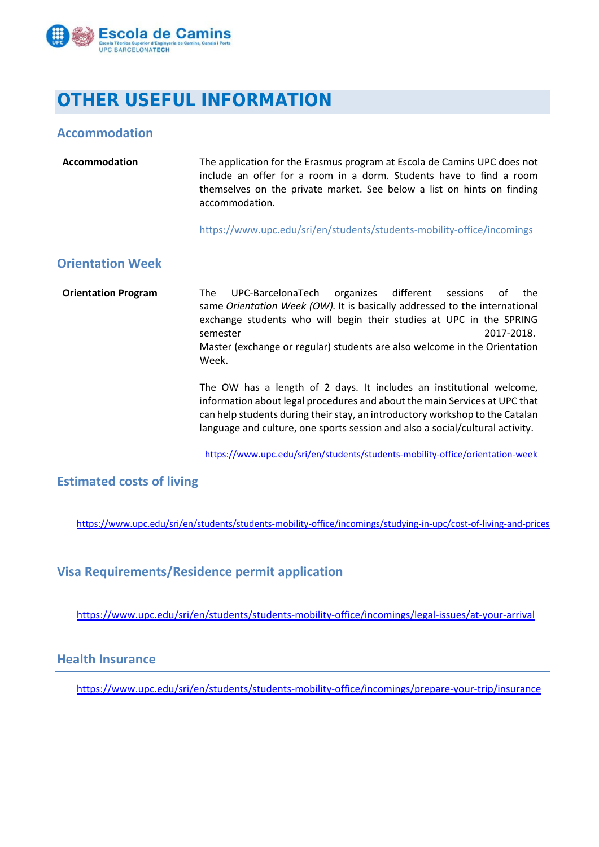

## **OTHER USEFUL INFORMATION**

#### **Accommodation**

| Accommodation | The application for the Erasmus program at Escola de Camins UPC does not<br>include an offer for a room in a dorm. Students have to find a room<br>themselves on the private market. See below a list on hints on finding<br>accommodation. |
|---------------|---------------------------------------------------------------------------------------------------------------------------------------------------------------------------------------------------------------------------------------------|
|               |                                                                                                                                                                                                                                             |
|               |                                                                                                                                                                                                                                             |

https://www.upc.edu/sri/en/students/students‐mobility‐office/incomings

#### **Orientation Week**

**Orientation Program** The UPC‐BarcelonaTech organizes different sessions of the same *Orientation Week (OW).* It is basically addressed to the international exchange students who will begin their studies at UPC in the SPRING semester 2017‐2018. Master (exchange or regular) students are also welcome in the Orientation Week.

> The OW has a length of 2 days. It includes an institutional welcome, information about legal procedures and about the main Services at UPC that can help students during their stay, an introductory workshop to the Catalan language and culture, one sports session and also a social/cultural activity.

https://www.upc.edu/sri/en/students/students‐mobility‐office/orientation‐week

#### **Estimated costs of living**

https://www.upc.edu/sri/en/students/students-mobility-office/incomings/studying-in-upc/cost-of-living-and-prices

#### **Visa Requirements/Residence permit application**

https://www.upc.edu/sri/en/students/students-mobility-office/incomings/legal-issues/at-your-arrival

#### **Health Insurance**

https://www.upc.edu/sri/en/students/students‐mobility‐office/incomings/prepare‐your‐trip/insurance